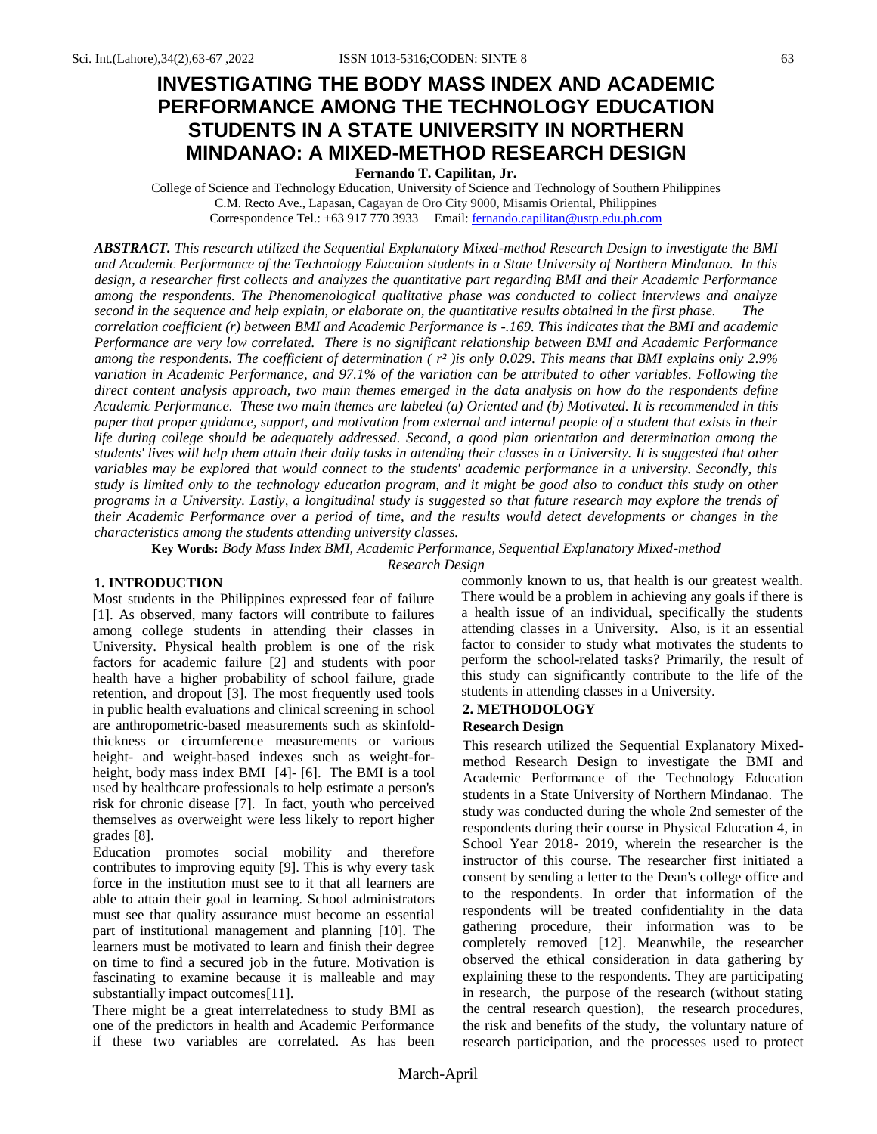# **INVESTIGATING THE BODY MASS INDEX AND ACADEMIC PERFORMANCE AMONG THE TECHNOLOGY EDUCATION STUDENTS IN A STATE UNIVERSITY IN NORTHERN MINDANAO: A MIXED-METHOD RESEARCH DESIGN**

**Fernando T. Capilitan, Jr.**

College of Science and Technology Education, University of Science and Technology of Southern Philippines C.M. Recto Ave., Lapasan, Cagayan de Oro City 9000, Misamis Oriental, Philippines Correspondence Tel.: +63 917 770 3933 Email[: fernando.capilitan@ustp.edu.ph.com](mailto:fernando.capilitan@ustp.edu.ph.com)

*ABSTRACT. This research utilized the Sequential Explanatory Mixed-method Research Design to investigate the BMI and Academic Performance of the Technology Education students in a State University of Northern Mindanao. In this design, a researcher first collects and analyzes the quantitative part regarding BMI and their Academic Performance among the respondents. The Phenomenological qualitative phase was conducted to collect interviews and analyze second in the sequence and help explain, or elaborate on, the quantitative results obtained in the first phase. The correlation coefficient (r) between BMI and Academic Performance is -.169. This indicates that the BMI and academic Performance are very low correlated. There is no significant relationship between BMI and Academic Performance among the respondents. The coefficient of determination ( r² )is only 0.029. This means that BMI explains only 2.9% variation in Academic Performance, and 97.1% of the variation can be attributed to other variables. Following the direct content analysis approach, two main themes emerged in the data analysis on how do the respondents define Academic Performance. These two main themes are labeled (a) Oriented and (b) Motivated. It is recommended in this paper that proper guidance, support, and motivation from external and internal people of a student that exists in their life during college should be adequately addressed. Second, a good plan orientation and determination among the students' lives will help them attain their daily tasks in attending their classes in a University. It is suggested that other variables may be explored that would connect to the students' academic performance in a university. Secondly, this study is limited only to the technology education program, and it might be good also to conduct this study on other programs in a University. Lastly, a longitudinal study is suggested so that future research may explore the trends of their Academic Performance over a period of time, and the results would detect developments or changes in the characteristics among the students attending university classes.* 

**Key Words:** *Body Mass Index BMI, Academic Performance, Sequential Explanatory Mixed-method Research Design*

### **1. INTRODUCTION**

Most students in the Philippines expressed fear of failure [1]. As observed, many factors will contribute to failures among college students in attending their classes in University. Physical health problem is one of the risk factors for academic failure [2] and students with poor health have a higher probability of school failure, grade retention, and dropout [3]. The most frequently used tools in public health evaluations and clinical screening in school are anthropometric-based measurements such as skinfoldthickness or circumference measurements or various height- and weight-based indexes such as weight-forheight, body mass index BMI [4]- [6]. The BMI is a tool used by healthcare professionals to help estimate a person's risk for chronic disease [7]. In fact, youth who perceived themselves as overweight were less likely to report higher grades [8].

Education promotes social mobility and therefore contributes to improving equity [9]. This is why every task force in the institution must see to it that all learners are able to attain their goal in learning. School administrators must see that quality assurance must become an essential part of institutional management and planning [10]. The learners must be motivated to learn and finish their degree on time to find a secured job in the future. Motivation is fascinating to examine because it is malleable and may substantially impact outcomes[11].

There might be a great interrelatedness to study BMI as one of the predictors in health and Academic Performance if these two variables are correlated. As has been commonly known to us, that health is our greatest wealth. There would be a problem in achieving any goals if there is a health issue of an individual, specifically the students attending classes in a University. Also, is it an essential factor to consider to study what motivates the students to perform the school-related tasks? Primarily, the result of this study can significantly contribute to the life of the students in attending classes in a University.

## **2. METHODOLOGY**

#### **Research Design**

This research utilized the Sequential Explanatory Mixedmethod Research Design to investigate the BMI and Academic Performance of the Technology Education students in a State University of Northern Mindanao. The study was conducted during the whole 2nd semester of the respondents during their course in Physical Education 4, in School Year 2018- 2019, wherein the researcher is the instructor of this course. The researcher first initiated a consent by sending a letter to the Dean's college office and to the respondents. In order that information of the respondents will be treated confidentiality in the data gathering procedure, their information was to be completely removed [12]. Meanwhile, the researcher observed the ethical consideration in data gathering by explaining these to the respondents. They are participating in research, the purpose of the research (without stating the central research question), the research procedures, the risk and benefits of the study, the voluntary nature of research participation, and the processes used to protect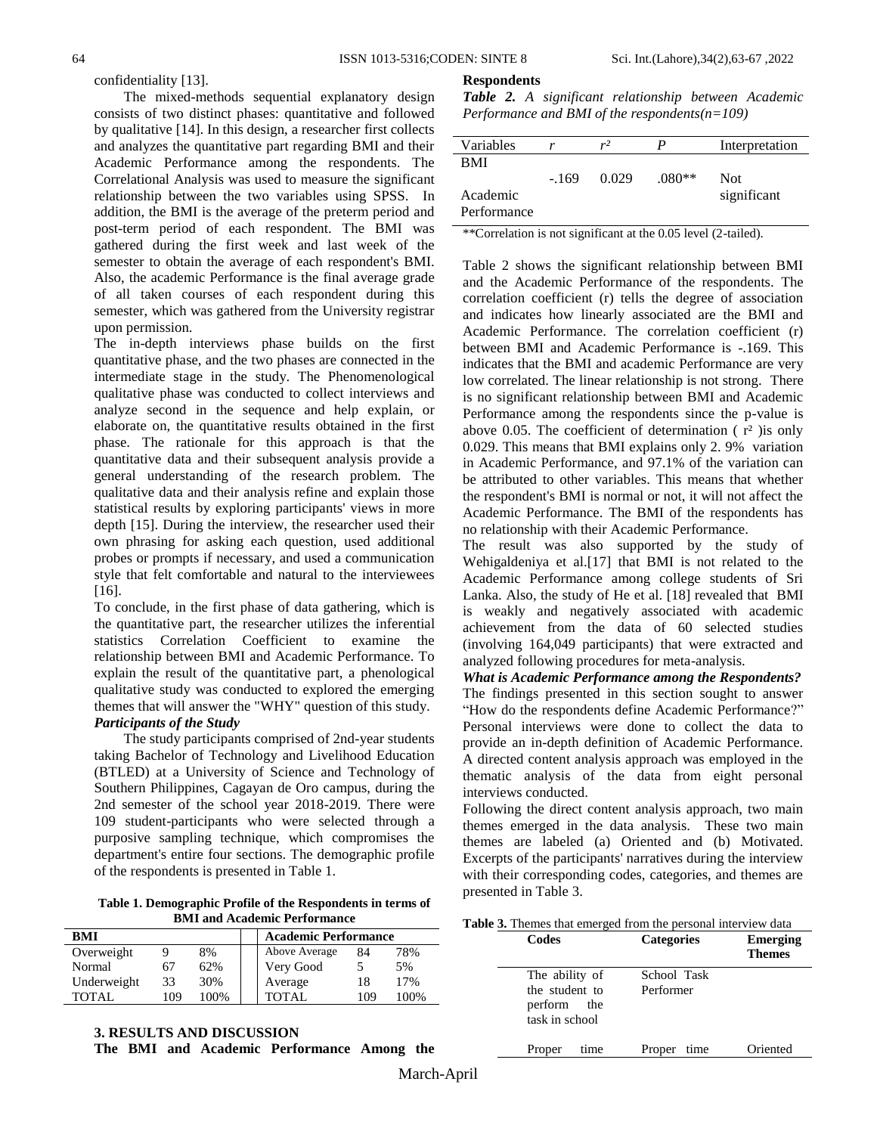**Respondents**

confidentiality [13].

The mixed-methods sequential explanatory design consists of two distinct phases: quantitative and followed by qualitative [14]. In this design, a researcher first collects and analyzes the quantitative part regarding BMI and their Academic Performance among the respondents. The Correlational Analysis was used to measure the significant relationship between the two variables using SPSS. In addition, the BMI is the average of the preterm period and post-term period of each respondent. The BMI was gathered during the first week and last week of the semester to obtain the average of each respondent's BMI. Also, the academic Performance is the final average grade of all taken courses of each respondent during this semester, which was gathered from the University registrar upon permission.

The in-depth interviews phase builds on the first quantitative phase, and the two phases are connected in the intermediate stage in the study. The Phenomenological qualitative phase was conducted to collect interviews and analyze second in the sequence and help explain, or elaborate on, the quantitative results obtained in the first phase. The rationale for this approach is that the quantitative data and their subsequent analysis provide a general understanding of the research problem. The qualitative data and their analysis refine and explain those statistical results by exploring participants' views in more depth [15]. During the interview, the researcher used their own phrasing for asking each question, used additional probes or prompts if necessary, and used a communication style that felt comfortable and natural to the interviewees [16].

To conclude, in the first phase of data gathering, which is the quantitative part, the researcher utilizes the inferential statistics Correlation Coefficient to examine the relationship between BMI and Academic Performance. To explain the result of the quantitative part, a phenological qualitative study was conducted to explored the emerging themes that will answer the "WHY" question of this study. *Participants of the Study* 

The study participants comprised of 2nd-year students taking Bachelor of Technology and Livelihood Education (BTLED) at a University of Science and Technology of Southern Philippines, Cagayan de Oro campus, during the 2nd semester of the school year 2018-2019. There were 109 student-participants who were selected through a purposive sampling technique, which compromises the department's entire four sections. The demographic profile of the respondents is presented in Table 1.

**Table 1. Demographic Profile of the Respondents in terms of BMI and Academic Performance**

| BMI         |     |      | <b>Academic Performance</b> |               |     |      |
|-------------|-----|------|-----------------------------|---------------|-----|------|
| Overweight  | Q   | 8%   |                             | Above Average | 84  | 78%  |
| Normal      | 67  | 62%  |                             | Very Good     | 5   | 5%   |
| Underweight | 33  | 30%  |                             | Average       | 18  | 17%  |
| TOTAL       | 109 | 100% |                             | <b>TOTAL</b>  | 109 | 100% |

**3. RESULTS AND DISCUSSION The BMI and Academic Performance Among the**  *Table 2. A significant relationship between Academic Performance and BMI of the respondents(n=109)*

| Variables   | r      | $r^2$ |          | Interpretation |
|-------------|--------|-------|----------|----------------|
| <b>BMI</b>  |        |       |          |                |
|             | $-169$ | 0.029 | $.080**$ | Not            |
| Academic    |        |       |          | significant    |
| Performance |        |       |          |                |

\*\*Correlation is not significant at the 0.05 level (2-tailed).

Table 2 shows the significant relationship between BMI and the Academic Performance of the respondents. The correlation coefficient (r) tells the degree of association and indicates how linearly associated are the BMI and Academic Performance. The correlation coefficient (r) between BMI and Academic Performance is -.169. This indicates that the BMI and academic Performance are very low correlated. The linear relationship is not strong. There is no significant relationship between BMI and Academic Performance among the respondents since the p-value is above 0.05. The coefficient of determination  $(r^2)$  is only 0.029. This means that BMI explains only 2. 9% variation in Academic Performance, and 97.1% of the variation can be attributed to other variables. This means that whether the respondent's BMI is normal or not, it will not affect the Academic Performance. The BMI of the respondents has no relationship with their Academic Performance.

The result was also supported by the study of Wehigaldeniya et al.[17] that BMI is not related to the Academic Performance among college students of Sri Lanka. Also, the study of He et al. [18] revealed that BMI is weakly and negatively associated with academic achievement from the data of 60 selected studies (involving 164,049 participants) that were extracted and analyzed following procedures for meta-analysis.

*What is Academic Performance among the Respondents?* The findings presented in this section sought to answer "How do the respondents define Academic Performance?" Personal interviews were done to collect the data to provide an in-depth definition of Academic Performance. A directed content analysis approach was employed in the thematic analysis of the data from eight personal interviews conducted.

Following the direct content analysis approach, two main themes emerged in the data analysis. These two main themes are labeled (a) Oriented and (b) Motivated. Excerpts of the participants' narratives during the interview with their corresponding codes, categories, and themes are presented in Table 3.

**Table 3.** Themes that emerged from the personal interview data

| Codes                                                             | <b>Categories</b>        | Emerging<br><b>Themes</b> |
|-------------------------------------------------------------------|--------------------------|---------------------------|
| The ability of<br>the student to<br>perform the<br>task in school | School Task<br>Performer |                           |
| time<br>Proper                                                    | time<br>Proper           | Oriented                  |

March-April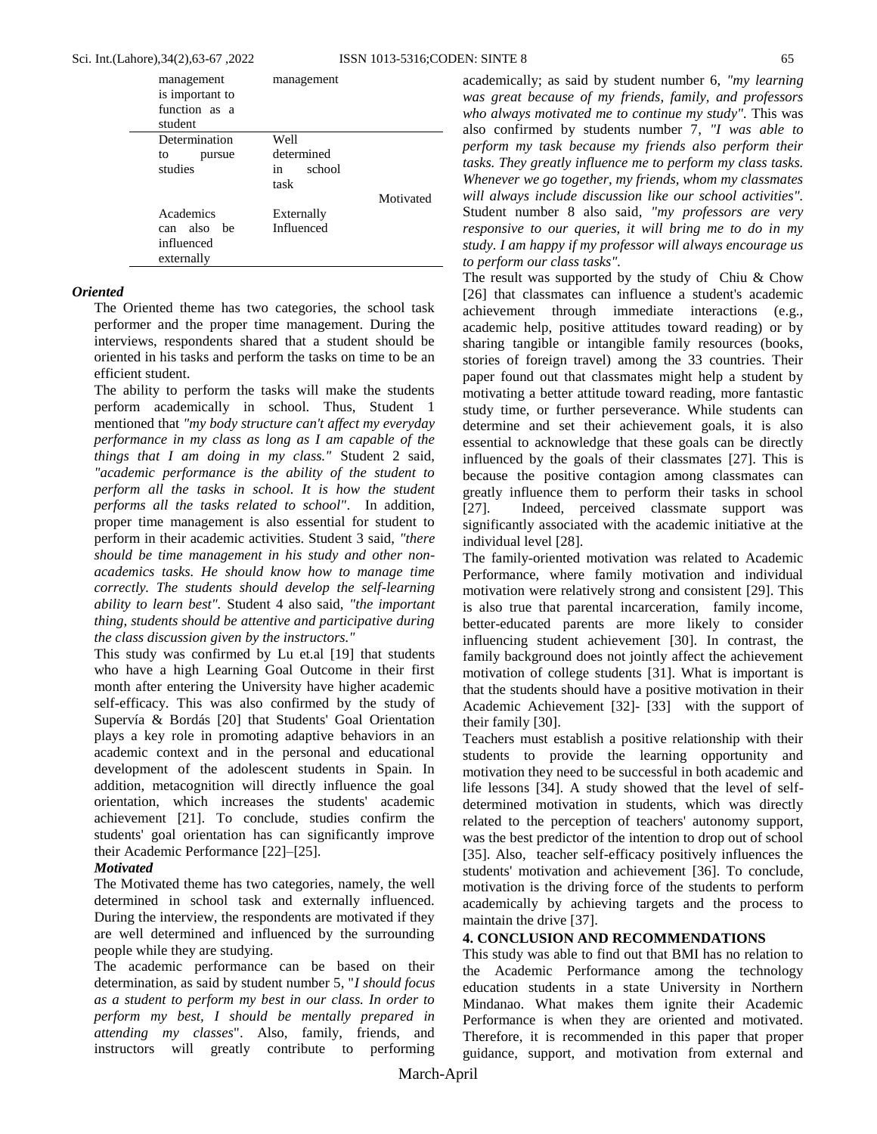| management<br>is important to<br>function as a<br>student | management   |           |
|-----------------------------------------------------------|--------------|-----------|
| Determination                                             | Well         |           |
| to<br>pursue                                              | determined   |           |
| studies                                                   | school<br>in |           |
|                                                           | task         |           |
|                                                           |              | Motivated |
| Academics                                                 | Externally   |           |
| can also be                                               | Influenced   |           |
| influenced                                                |              |           |
| externally                                                |              |           |

## *Oriented*

The Oriented theme has two categories, the school task performer and the proper time management. During the interviews, respondents shared that a student should be oriented in his tasks and perform the tasks on time to be an efficient student.

The ability to perform the tasks will make the students perform academically in school. Thus, Student 1 mentioned that *"my body structure can't affect my everyday performance in my class as long as I am capable of the things that I am doing in my class."* Student 2 said, *"academic performance is the ability of the student to perform all the tasks in school. It is how the student performs all the tasks related to school"*. In addition, proper time management is also essential for student to perform in their academic activities. Student 3 said, *"there should be time management in his study and other nonacademics tasks. He should know how to manage time correctly. The students should develop the self-learning ability to learn best".* Student 4 also said, *"the important thing, students should be attentive and participative during the class discussion given by the instructors."*

This study was confirmed by Lu et.al [19] that students who have a high Learning Goal Outcome in their first month after entering the University have higher academic self-efficacy. This was also confirmed by the study of Supervía & Bordás [20] that Students' Goal Orientation plays a key role in promoting adaptive behaviors in an academic context and in the personal and educational development of the adolescent students in Spain. In addition, metacognition will directly influence the goal orientation, which increases the students' academic achievement [21]. To conclude, studies confirm the students' goal orientation has can significantly improve their Academic Performance [22]–[25].

## *Motivated*

The Motivated theme has two categories, namely, the well determined in school task and externally influenced. During the interview, the respondents are motivated if they are well determined and influenced by the surrounding people while they are studying.

The academic performance can be based on their determination, as said by student number 5, "*I should focus as a student to perform my best in our class. In order to perform my best, I should be mentally prepared in attending my classes*". Also, family, friends, and instructors will greatly contribute to performing

academically; as said by student number 6, *"my learning was great because of my friends, family, and professors who always motivated me to continue my study".* This was also confirmed by students number 7*, "I was able to perform my task because my friends also perform their tasks. They greatly influence me to perform my class tasks. Whenever we go together, my friends, whom my classmates will always include discussion like our school activities".*  Student number 8 also said*, "my professors are very responsive to our queries, it will bring me to do in my study. I am happy if my professor will always encourage us to perform our class tasks".* 

The result was supported by the study of Chiu & Chow [26] that classmates can influence a student's academic achievement through immediate interactions (e.g., academic help, positive attitudes toward reading) or by sharing tangible or intangible family resources (books, stories of foreign travel) among the 33 countries. Their paper found out that classmates might help a student by motivating a better attitude toward reading, more fantastic study time, or further perseverance. While students can determine and set their achievement goals, it is also essential to acknowledge that these goals can be directly influenced by the goals of their classmates [27]. This is because the positive contagion among classmates can greatly influence them to perform their tasks in school [27]. Indeed, perceived classmate support was significantly associated with the academic initiative at the individual level [28].

The family-oriented motivation was related to Academic Performance, where family motivation and individual motivation were relatively strong and consistent [29]. This is also true that parental incarceration, family income, better-educated parents are more likely to consider influencing student achievement [30]. In contrast, the family background does not jointly affect the achievement motivation of college students [31]. What is important is that the students should have a positive motivation in their Academic Achievement [32]- [33] with the support of their family [30].

Teachers must establish a positive relationship with their students to provide the learning opportunity and motivation they need to be successful in both academic and life lessons [34]. A study showed that the level of selfdetermined motivation in students, which was directly related to the perception of teachers' autonomy support, was the best predictor of the intention to drop out of school [35]. Also, teacher self-efficacy positively influences the students' motivation and achievement [36]. To conclude, motivation is the driving force of the students to perform academically by achieving targets and the process to maintain the drive [37].

# **4. CONCLUSION AND RECOMMENDATIONS**

This study was able to find out that BMI has no relation to the Academic Performance among the technology education students in a state University in Northern Mindanao. What makes them ignite their Academic Performance is when they are oriented and motivated. Therefore, it is recommended in this paper that proper guidance, support, and motivation from external and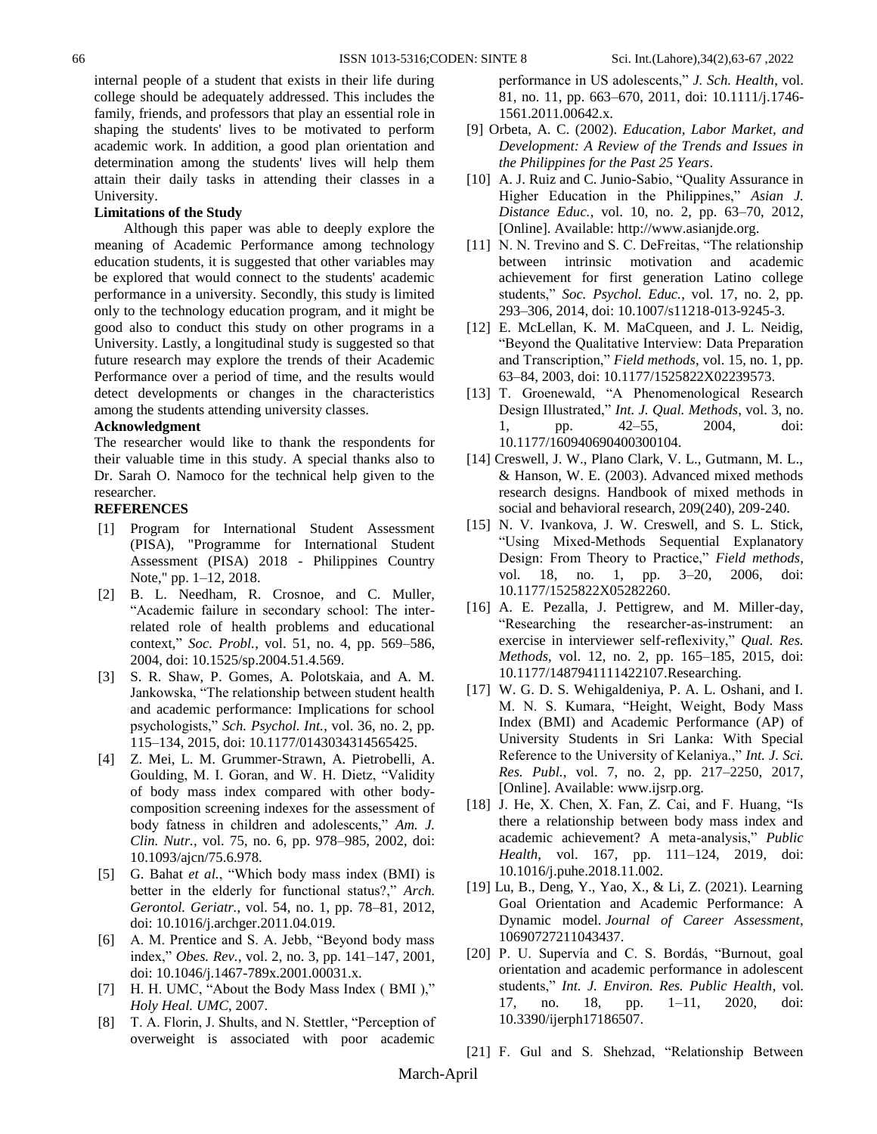internal people of a student that exists in their life during college should be adequately addressed. This includes the family, friends, and professors that play an essential role in shaping the students' lives to be motivated to perform academic work. In addition, a good plan orientation and determination among the students' lives will help them attain their daily tasks in attending their classes in a University.

#### **Limitations of the Study**

Although this paper was able to deeply explore the meaning of Academic Performance among technology education students, it is suggested that other variables may be explored that would connect to the students' academic performance in a university. Secondly, this study is limited only to the technology education program, and it might be good also to conduct this study on other programs in a University. Lastly, a longitudinal study is suggested so that future research may explore the trends of their Academic Performance over a period of time, and the results would detect developments or changes in the characteristics among the students attending university classes.

#### **Acknowledgment**

The researcher would like to thank the respondents for their valuable time in this study. A special thanks also to Dr. Sarah O. Namoco for the technical help given to the researcher.

#### **REFERENCES**

- [1] Program for International Student Assessment (PISA), "Programme for International Student Assessment (PISA) 2018 - Philippines Country Note," pp. 1–12, 2018.
- [2] B. L. Needham, R. Crosnoe, and C. Muller, "Academic failure in secondary school: The interrelated role of health problems and educational context," *Soc. Probl.*, vol. 51, no. 4, pp. 569–586, 2004, doi: 10.1525/sp.2004.51.4.569.
- [3] S. R. Shaw, P. Gomes, A. Polotskaia, and A. M. Jankowska, "The relationship between student health and academic performance: Implications for school psychologists," *Sch. Psychol. Int.*, vol. 36, no. 2, pp. 115–134, 2015, doi: 10.1177/0143034314565425.
- [4] Z. Mei, L. M. Grummer-Strawn, A. Pietrobelli, A. Goulding, M. I. Goran, and W. H. Dietz, "Validity of body mass index compared with other bodycomposition screening indexes for the assessment of body fatness in children and adolescents," *Am. J. Clin. Nutr.*, vol. 75, no. 6, pp. 978–985, 2002, doi: 10.1093/ajcn/75.6.978.
- [5] G. Bahat *et al.*, "Which body mass index (BMI) is better in the elderly for functional status?," *Arch. Gerontol. Geriatr.*, vol. 54, no. 1, pp. 78–81, 2012, doi: 10.1016/j.archger.2011.04.019.
- [6] A. M. Prentice and S. A. Jebb, "Beyond body mass index," *Obes. Rev.*, vol. 2, no. 3, pp. 141–147, 2001, doi: 10.1046/j.1467-789x.2001.00031.x.
- [7] H. H. UMC, "About the Body Mass Index ( BMI )," *Holy Heal. UMC*, 2007.
- [8] T. A. Florin, J. Shults, and N. Stettler, "Perception of overweight is associated with poor academic

performance in US adolescents," *J. Sch. Health*, vol. 81, no. 11, pp. 663–670, 2011, doi: 10.1111/j.1746- 1561.2011.00642.x.

- [9] Orbeta, A. C. (2002). *Education, Labor Market, and Development: A Review of the Trends and Issues in the Philippines for the Past 25 Years*.
- [10] A. J. Ruiz and C. Junio-Sabio, "Quality Assurance in Higher Education in the Philippines," *Asian J. Distance Educ.*, vol. 10, no. 2, pp. 63–70, 2012, [Online]. Available: http://www.asianjde.org.
- [11] N. N. Trevino and S. C. DeFreitas, "The relationship between intrinsic motivation and academic achievement for first generation Latino college students," *Soc. Psychol. Educ.*, vol. 17, no. 2, pp. 293–306, 2014, doi: 10.1007/s11218-013-9245-3.
- [12] E. McLellan, K. M. MaCqueen, and J. L. Neidig, "Beyond the Qualitative Interview: Data Preparation and Transcription," *Field methods*, vol. 15, no. 1, pp. 63–84, 2003, doi: 10.1177/1525822X02239573.
- [13] T. Groenewald, "A Phenomenological Research Design Illustrated," *Int. J. Qual. Methods*, vol. 3, no. 1, pp. 42–55, 2004, doi: 10.1177/160940690400300104.
- [14] Creswell, J. W., Plano Clark, V. L., Gutmann, M. L., & Hanson, W. E. (2003). Advanced mixed methods research designs. Handbook of mixed methods in social and behavioral research, 209(240), 209-240.
- [15] N. V. Ivankova, J. W. Creswell, and S. L. Stick, "Using Mixed-Methods Sequential Explanatory Design: From Theory to Practice," *Field methods*, vol. 18, no. 1, pp. 3–20, 2006, doi: 10.1177/1525822X05282260.
- [16] A. E. Pezalla, J. Pettigrew, and M. Miller-day, "Researching the researcher-as-instrument: an exercise in interviewer self-reflexivity," *Qual. Res. Methods*, vol. 12, no. 2, pp. 165–185, 2015, doi: 10.1177/1487941111422107.Researching.
- [17] W. G. D. S. Wehigaldeniya, P. A. L. Oshani, and I. M. N. S. Kumara, "Height, Weight, Body Mass Index (BMI) and Academic Performance (AP) of University Students in Sri Lanka: With Special Reference to the University of Kelaniya.," *Int. J. Sci. Res. Publ.*, vol. 7, no. 2, pp. 217–2250, 2017, [Online]. Available: www.ijsrp.org.
- [18] J. He, X. Chen, X. Fan, Z. Cai, and F. Huang, "Is there a relationship between body mass index and academic achievement? A meta-analysis," *Public Health*, vol. 167, pp. 111–124, 2019, doi: 10.1016/j.puhe.2018.11.002.
- [19] Lu, B., Deng, Y., Yao, X., & Li, Z. (2021). Learning Goal Orientation and Academic Performance: A Dynamic model. *Journal of Career Assessment*, 10690727211043437.
- [20] P. U. Supervía and C. S. Bordás, "Burnout, goal orientation and academic performance in adolescent students," *Int. J. Environ. Res. Public Health*, vol. 17, no. 18, pp. 1–11, 2020, doi: 10.3390/ijerph17186507.

[21] F. Gul and S. Shehzad, "Relationship Between